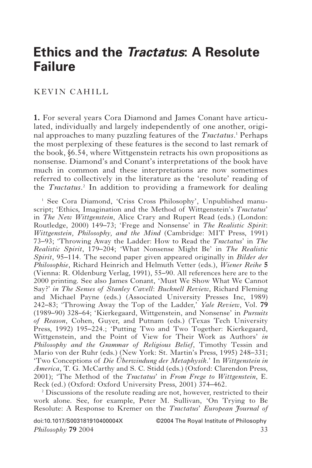#### KEVIN CAHILL

**1.** For several years Cora Diamond and James Conant have articulated, individually and largely independently of one another, original approaches to many puzzling features of the *Tractatus*. <sup>1</sup> Perhaps the most perplexing of these features is the second to last remark of the book, §6.54, where Wittgenstein retracts his own propositions as nonsense. Diamond's and Conant's interpretations of the book have much in common and these interpretations are now sometimes referred to collectively in the literature as the 'resolute' reading of the *Tractatus*. <sup>2</sup> In addition to providing a framework for dealing

<sup>1</sup> See Cora Diamond, 'Criss Cross Philosophy', Unpublished manuscript; 'Ethics, Imagination and the Method of Wittgenstein's *Tractatus*' in *The New Wittgenstein*, Alice Crary and Rupert Read (eds.) (London: Routledge, 2000) 149–73; 'Frege and Nonsense' in *The Realistic Spirit*: *Wittgenstein, Philosophy, and the Mind* (Cambridge: MIT Press, 1991) 73–93; 'Throwing Away the Ladder: How to Read the *Tractatus*' in *The Realistic Spirit*, 179–204; 'What Nonsense Might Be' in *The Realistic Spirit*, 95–114. The second paper given appeared originally in *Bilder der Philosophie*, Richard Heinrich and Helmuth Vetter (eds.), *Wiener Reihe* **5** (Vienna: R. Oldenburg Verlag, 1991), 55–90. All references here are to the 2000 printing. See also James Conant, 'Must We Show What We Cannot Say?' *in The Senses of Stanley Cavell*: *Bucknell Review*, Richard Fleming and Michael Payne (eds.) (Associated University Presses Inc, 1989) 242–83; 'Throwing Away the Top of the Ladder,' *Yale Review*, Vol. **79** (1989–90) 328–64; 'Kierkegaard, Wittgenstein, and Nonsense' in *Pursuits of Reason*, Cohen, Guyer, and Putnam (eds.) (Texas Tech University Press, 1992) 195–224.; 'Putting Two and Two Together: Kierkegaard, Wittgenstein, and the Point of View for Their Work as Authors' *in Philosophy and the Grammar of Religious Belief*, Timothy Tessin and Mario von der Ruhr (eds.) (New York: St. Martin's Press, 1995) 248–331; 'Two Conceptions of *Die Überwindung der Metaphysik*.' In *Wittgenstein in America*, T. G. McCarthy and S. C. Stidd (eds.) (Oxford: Clarendon Press, 2001); 'The Method of the *Tractatus*' in *From Frege to Wittgenstein*, E. Reck (ed.) (Oxford: Oxford University Press, 2001) 374–462.

<sup>2</sup> Discussions of the resolute reading are not, however, restricted to their work alone. See, for example, Peter M. Sullivan, 'On Trying to Be Resolute: A Response to Kremer on the *Tractatus*' *European Journal of*

*Philosophy* **79** 2004 33

doi:10.1017/S003181910400004X ©2004 The Royal Institute of Philosophy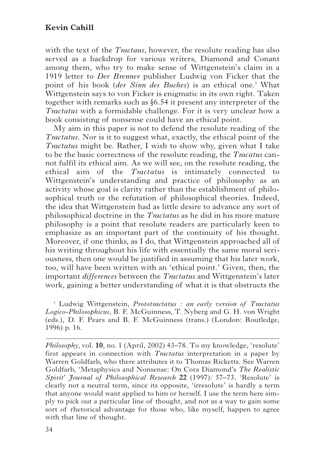with the text of the *Tractaus*, however, the resolute reading has also served as a backdrop for various writers, Diamond and Conant among them, who try to make sense of Wittgenstein's claim in a 1919 letter to *Der Brenner* publisher Ludwig von Ficker that the point of his book (*der Sinn des Buches*) is an ethical one.<sup>3</sup> What Wittgenstein says to von Ficker is enigmatic in its own right. Taken together with remarks such as §6.54 it present any interpreter of the *Tractatus* with a formidable challenge. For it is very unclear how a book consisting of nonsense could have an ethical point.

My aim in this paper is not to defend the resolute reading of the *Tractatus*. Nor is it to suggest what, exactly, the ethical point of the *Tractatus* might be. Rather, I wish to show why, given what I take to be the basic correctness of the resolute reading, the *Tracatus* cannot fulfil its ethical aim. As we will see, on the resolute reading, the ethical aim of the *Tractatus* is intimately connected to Wittgenstein's understanding and practice of philosophy as an activity whose goal is clarity rather than the establishment of philosophical truth or the refutation of philosophical theories. Indeed, the idea that Wittgenstein had as little desire to advance any sort of philosophical doctrine in the *Tractatus* as he did in his more mature philosophy is a point that resolute readers are particularly keen to emphasize as an important part of the continuity of his thought. Moreover, if one thinks, as I do, that Wittgenstein approached all of his writing throughout his life with essentially the same moral seriousness, then one would be justified in assuming that his later work, too, will have been written with an 'ethical point.' Given, then, the important *differences* between the *Tractatus* and Wittgenstein's later work, gaining a better understanding of what it is that obstructs the

<sup>3</sup> Ludwig Wittgenstein, *Prototractatus : an early version of Tractatus Logico-Philosophicus*, B. F. McGuinness, T. Nyberg and G. H. von Wright (eds.), D. F. Pears and B. F. McGuinness (trans.) (London: Routledge, 1996) p. 16.

*Philosophy,* vol. **10**, no. 1 (April, 2002) 43–78. To my knowledge, 'resolute' first appears in connection with *Tractatus* interpretation in a paper by Warren Goldfarb, who there attributes it to Thomas Ricketts. See Warren Goldfarb, 'Metaphysics and Nonsense: On Cora Diamond's *The Realistic Spirit*' *Journal of Philosophical Research* **22** (1997): 57–73. 'Resolute' is clearly not a neutral term, since its opposite, 'irresolute' is hardly a term that anyone would want applied to him or herself. I use the term here simply to pick out a particular line of thought, and not as a way to gain some sort of rhetorical advantage for those who, like myself, happen to agree with that line of thought.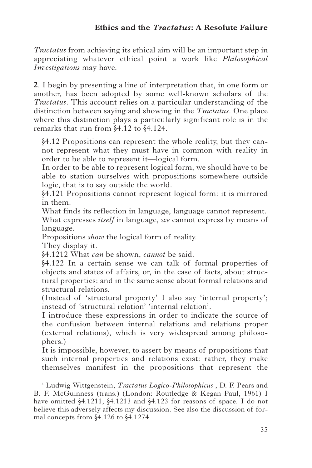*Tractatus* from achieving its ethical aim will be an important step in appreciating whatever ethical point a work like *Philosophical Investigations* may have.

**2**. I begin by presenting a line of interpretation that, in one form or another, has been adopted by some well-known scholars of the *Tractatus*. This account relies on a particular understanding of the distinction between saying and showing in the *Tractatus*. One place where this distinction plays a particularly significant role is in the remarks that run from §4.12 to §4.124.<sup>4</sup>

§4.12 Propositions can represent the whole reality, but they cannot represent what they must have in common with reality in order to be able to represent it—logical form.

In order to be able to represent logical form, we should have to be able to station ourselves with propositions somewhere outside logic, that is to say outside the world.

§4.121 Propositions cannot represent logical form: it is mirrored in them.

What finds its reflection in language, language cannot represent.

What expresses *itself* in language, *we* cannot express by means of language.

Propositions *show* the logical form of reality.

They display it.

§4.1212 What *can* be shown, *cannot* be said.

§4.122 In a certain sense we can talk of formal properties of objects and states of affairs, or, in the case of facts, about structural properties: and in the same sense about formal relations and structural relations.

(Instead of 'structural property' I also say 'internal property'; instead of 'structural relation' 'internal relation'.

I introduce these expressions in order to indicate the source of the confusion between internal relations and relations proper (external relations), which is very widespread among philosophers.)

It is impossible, however, to assert by means of propositions that such internal properties and relations exist: rather, they make themselves manifest in the propositions that represent the

<sup>4</sup> Ludwig Wittgenstein, *Tractatus Logico-Philosophicus* , D. F. Pears and B. F. McGuinness (trans.) (London: Routledge & Kegan Paul, 1961) I have omitted §4.1211, §4.1213 and §4.123 for reasons of space. I do not believe this adversely affects my discussion. See also the discussion of formal concepts from §4.126 to §4.1274.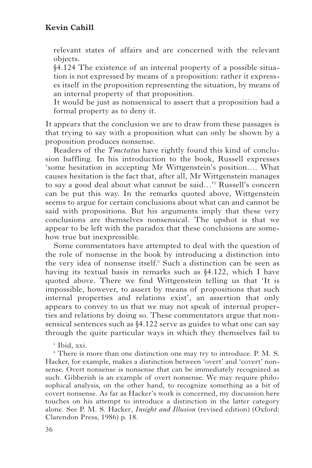relevant states of affairs and are concerned with the relevant objects.

§4.124 The existence of an internal property of a possible situation is not expressed by means of a proposition: rather it expresses itself in the proposition representing the situation, by means of an internal property of that proposition.

It would be just as nonsensical to assert that a proposition had a formal property as to deny it.

It appears that the conclusion we are to draw from these passages is that trying to say with a proposition what can only be shown by a proposition produces nonsense.

Readers of the *Tractatus* have rightly found this kind of conclusion baffling. In his introduction to the book, Russell expresses 'some hesitation in accepting Mr Wittgenstein's position…. What causes hesitation is the fact that, after all, Mr Wittgenstein manages to say a good deal about what cannot be said…'5 Russell's concern can be put this way. In the remarks quoted above, Wittgenstein seems to argue for certain conclusions about what can and cannot be said with propositions. But his arguments imply that these very conclusions are themselves nonsensical. The upshot is that we appear to be left with the paradox that these conclusions are somehow true but inexpressible.

Some commentators have attempted to deal with the question of the role of nonsense in the book by introducing a distinction into the very idea of nonsense itself.<sup>6</sup> Such a distinction can be seen as having its textual basis in remarks such as §4.122, which I have quoted above. There we find Wittgenstein telling us that 'It is impossible, however, to assert by means of propositions that such internal properties and relations exist', an assertion that only appears to convey to us that we may not speak of internal properties and relations by doing so. These commentators argue that nonsensical sentences such as §4.122 serve as guides to what one can say through the quite particular ways in which they themselves fail to

<sup>5</sup> Ibid, xxi.

<sup>6</sup> There is more than one distinction one may try to introduce. P. M. S. Hacker, for example, makes a distinction between 'overt' and 'covert' nonsense. Overt nonsense is nonsense that can be immediately recognized as such. Gibberish is an example of overt nonsense. We may require philosophical analysis, on the other hand, to recognize something as a bit of covert nonsense. As far as Hacker's work is concerned, my discussion here touches on his attempt to introduce a distinction in the latter category alone. See P. M. S. Hacker*, Insight and Illusion* (revised edition) (Oxford: Clarendon Press, 1986) p. 18.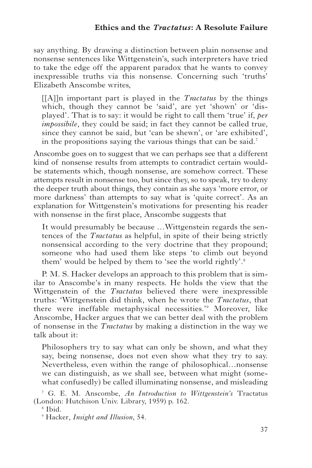say anything. By drawing a distinction between plain nonsense and nonsense sentences like Wittgenstein's, such interpreters have tried to take the edge off the apparent paradox that he wants to convey inexpressible truths via this nonsense. Concerning such 'truths' Elizabeth Anscombe writes,

[[A]]n important part is played in the *Tractatus* by the things which, though they cannot be 'said', are yet 'shown' or 'displayed'. That is to say: it would be right to call them 'true' if, *per impossibile*, they could be said; in fact they cannot be called true, since they cannot be said, but 'can be shewn', or 'are exhibited', in the propositions saying the various things that can be said.7

Anscombe goes on to suggest that we can perhaps see that a different kind of nonsense results from attempts to contradict certain wouldbe statements which, though nonsense, are somehow correct. These attempts result in nonsense too, but since they, so to speak, try to deny the deeper truth about things, they contain as she says 'more error, or more darkness' than attempts to say what is 'quite correct'. As an explanation for Wittgenstein's motivations for presenting his reader with nonsense in the first place, Anscombe suggests that

It would presumably be because …Wittgenstein regards the sentences of the *Tractatus* as helpful, in spite of their being strictly nonsensical according to the very doctrine that they propound; someone who had used them like steps 'to climb out beyond them' would be helped by them to 'see the world rightly'.<sup>8</sup>

P. M. S. Hacker develops an approach to this problem that is similar to Anscombe's in many respects. He holds the view that the Wittgenstein of the *Tractatus* believed there were inexpressible truths: 'Wittgenstein did think, when he wrote the *Tractatus*, that there were ineffable metaphysical necessities.'9 Moreover, like Anscombe, Hacker argues that we can better deal with the problem of nonsense in the *Tractatus* by making a distinction in the way we talk about it:

Philosophers try to say what can only be shown, and what they say, being nonsense, does not even show what they try to say. Nevertheless, even within the range of philosophical…nonsense we can distinguish, as we shall see, between what might (somewhat confusedly) be called illuminating nonsense, and misleading

<sup>7</sup> G. E. M. Anscombe, *An Introduction to Wittgenstein's* Tractatus (London: Hutchison Univ. Library, 1959) p. 162.

<sup>8</sup> Ibid.

<sup>9</sup> Hacker*, Insight and Illusion*, 54.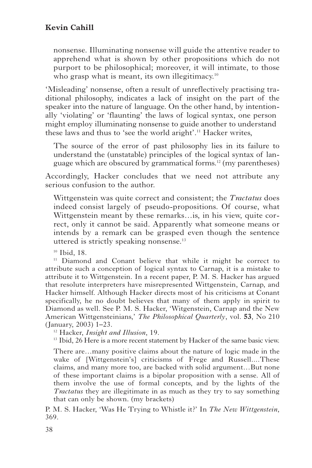nonsense. Illuminating nonsense will guide the attentive reader to apprehend what is shown by other propositions which do not purport to be philosophical; moreover, it will intimate, to those who grasp what is meant, its own illegitimacy.<sup>10</sup>

'Misleading' nonsense, often a result of unreflectively practising traditional philosophy, indicates a lack of insight on the part of the speaker into the nature of language. On the other hand, by intentionally 'violating' or 'flaunting' the laws of logical syntax, one person might employ illuminating nonsense to guide another to understand these laws and thus to 'see the world aright'.11 Hacker writes,

The source of the error of past philosophy lies in its failure to understand the (unstatable) principles of the logical syntax of language which are obscured by grammatical forms.12 (my parentheses)

Accordingly, Hacker concludes that we need not attribute any serious confusion to the author.

Wittgenstein was quite correct and consistent; the *Tractatus* does indeed consist largely of pseudo-propositions. Of course, what Wittgenstein meant by these remarks…is, in his view, quite correct, only it cannot be said. Apparently what someone means or intends by a remark can be grasped even though the sentence uttered is strictly speaking nonsense.<sup>13</sup>

<sup>10</sup> Ibid, 18.

<sup>11</sup> Diamond and Conant believe that while it might be correct to attribute such a conception of logical syntax to Carnap, it is a mistake to attribute it to Wittgenstein. In a recent paper, P. M. S. Hacker has argued that resolute interpreters have misrepresented Wittgenstein, Carnap, and Hacker himself. Although Hacker directs most of his criticisms at Conant specifically, he no doubt believes that many of them apply in spirit to Diamond as well. See P. M. S. Hacker, 'Witgenstein, Carnap and the New American Wittgensteinians,' *The Philosophical Quarterly*, vol. **53**, No 210 (January, 2003) 1–23.

<sup>12</sup> Hacker, *Insight and Illusion*, 19.

<sup>13</sup> Ibid, 26 Here is a more recent statement by Hacker of the same basic view.

There are…many positive claims about the nature of logic made in the wake of [Wittgenstein's] criticisms of Frege and Russell....These claims, and many more too, are backed with solid argument…But none of these important claims is a bipolar proposition with a sense. All of them involve the use of formal concepts, and by the lights of the *Tractatus* they are illegitimate in as much as they try to say something that can only be shown. (my brackets)

P. M. S. Hacker, 'Was He Trying to Whistle it?' In *The New Wittgenstein*, 369.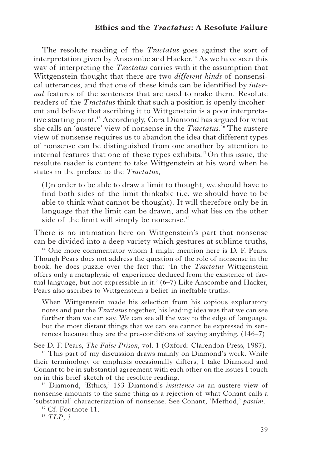The resolute reading of the *Tractatus* goes against the sort of interpretation given by Anscombe and Hacker.<sup>14</sup> As we have seen this way of interpreting the *Tractatus* carries with it the assumption that Wittgenstein thought that there are two *different kinds* of nonsensical utterances, and that one of these kinds can be identified by *internal* features of the sentences that are used to make them. Resolute readers of the *Tractatus* think that such a position is openly incoherent and believe that ascribing it to Wittgenstein is a poor interpretative starting point.15 Accordingly, Cora Diamond has argued for what she calls an 'austere' view of nonsense in the *Tractatus*. <sup>16</sup> The austere view of nonsense requires us to abandon the idea that different types of nonsense can be distinguished from one another by attention to internal features that one of these types exhibits.17 On this issue, the resolute reader is content to take Wittgenstein at his word when he states in the preface to the *Tractatus*,

(I)n order to be able to draw a limit to thought, we should have to find both sides of the limit thinkable (i.e. we should have to be able to think what cannot be thought). It will therefore only be in language that the limit can be drawn, and what lies on the other side of the limit will simply be nonsense.<sup>18</sup>

There is no intimation here on Wittgenstein's part that nonsense can be divided into a deep variety which gestures at sublime truths,

 $14$  One more commentator whom I might mention here is D. F. Pears. Though Pears does not address the question of the role of nonsense in the book, he does puzzle over the fact that 'In the *Tractatus* Wittgenstein offers only a metaphysic of experience deduced from the existence of factual language, but not expressible in it.' (6–7) Like Anscombe and Hacker, Pears also ascribes to Wittgenstein a belief in ineffable truths:

When Wittgenstein made his selection from his copious exploratory notes and put the *Tractatus* together, his leading idea was that we can see further than we can say. We can see all the way to the edge of language, but the most distant things that we can see cannot be expressed in sentences because they are the pre-conditions of saying anything. (146–7)

See D. F. Pears, *The False Prison*, vol. 1 (Oxford: Clarendon Press, 1987). 15 This part of my discussion draws mainly on Diamond's work. While

their terminology or emphasis occasionally differs, I take Diamond and Conant to be in substantial agreement with each other on the issues I touch on in this brief sketch of the resolute reading.

<sup>16</sup> Diamond, 'Ethics,' 153 Diamond's *insistence on* an austere view of nonsense amounts to the same thing as a rejection of what Conant calls a 'substantial' characterization of nonsense. See Conant, 'Method,' *passim*.

<sup>17</sup> Cf. Footnote 11.

<sup>18</sup> *TLP*, 3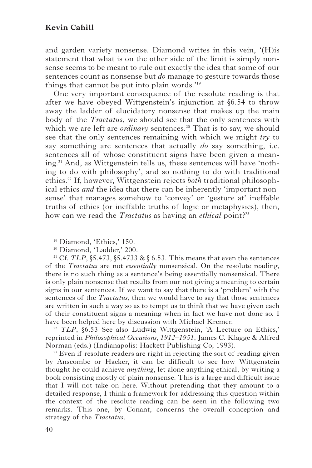and garden variety nonsense. Diamond writes in this vein, '(H)is statement that what is on the other side of the limit is simply nonsense seems to be meant to rule out exactly the idea that some of our sentences count as nonsense but *do* manage to gesture towards those things that cannot be put into plain words.'19

One very important consequence of the resolute reading is that after we have obeyed Wittgenstein's injunction at §6.54 to throw away the ladder of elucidatory nonsense that makes up the main body of the *Tractatus*, we should see that the only sentences with which we are left are *ordinary* sentences.<sup>20</sup> That is to say, we should see that the only sentences remaining with which we might *try* to say something are sentences that actually *do* say something, i.e. sentences all of whose constituent signs have been given a meaning.<sup>21</sup> And, as Wittgenstein tells us, these sentences will have 'nothing to do with philosophy', and so nothing to do with traditional ethics.22 If, however, Wittgenstein rejects *both* traditional philosophical ethics *and* the idea that there can be inherently 'important nonsense' that manages somehow to 'convey' or 'gesture at' ineffable truths of ethics (or ineffable truths of logic or metaphysics), then, how can we read the *Tractatus* as having an *ethical* point?<sup>23</sup>

<sup>19</sup> Diamond, 'Ethics,' 150.

<sup>20</sup> Diamond, 'Ladder,' 200.

<sup>21</sup> Cf. *TLP*,  $\S$ 5.473,  $\S$ 5.4733 &  $\S$  6.53. This means that even the sentences of the *Tractatus* are not *essentially* nonsensical. On the resolute reading, there is no such thing as a sentence's being essentially nonsensical. There is only plain nonsense that results from our not giving a meaning to certain signs in our sentences. If we want to say that there is a 'problem' with the sentences of the *Tractatus*, then we would have to say that those sentences are written in such a way so as to tempt us to think that we have given each of their constituent signs a meaning when in fact we have not done so. I have been helped here by discussion with Michael Kremer. 22 *TLP*, §6.53 See also Ludwig Wittgenstein, 'A Lecture on Ethics,'

reprinted in *Philosophical Occasions, 1912–1951*, James C. Klagge & Alfred Norman (eds.) (Indianapolis: Hackett Publishing Co, 1993).<br><sup>23</sup> Even if resolute readers are right in rejecting the sort of reading given

by Anscombe or Hacker, it can be difficult to see how Wittgenstein thought he could achieve *anything*, let alone anything ethical, by writing a book consisting mostly of plain nonsense. This is a large and difficult issue that I will not take on here. Without pretending that they amount to a detailed response, I think a framework for addressing this question within the context of the resolute reading can be seen in the following two remarks. This one, by Conant, concerns the overall conception and strategy of the *Tractatus*.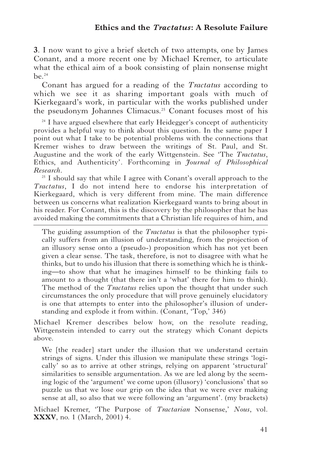**3**. I now want to give a brief sketch of two attempts, one by James Conant, and a more recent one by Michael Kremer, to articulate what the ethical aim of a book consisting of plain nonsense might  $he<sup>24</sup>$ 

Conant has argued for a reading of the *Tractatus* according to which we see it as sharing important goals with much of Kierkegaard's work, in particular with the works published under the pseudonym Johannes Climacus.25 Conant focuses most of his

 $24$  I have argued elsewhere that early Heidegger's concept of authenticity provides a helpful way to think about this question. In the same paper I point out what I take to be potential problems with the connections that Kremer wishes to draw between the writings of St. Paul, and St. Augustine and the work of the early Wittgenstein. See 'The *Tractatus*, Ethics, and Authenticity'. Forthcoming in *Journal of Philosophical Research*.<br><sup>25</sup> I should say that while I agree with Conant's overall approach to the

*Tractatus*, I do not intend here to endorse his interpretation of Kierkegaard, which is very different from mine. The main difference between us concerns what realization Kierkegaard wants to bring about in his reader. For Conant, this is the discovery by the philosopher that he has avoided making the commitments that a Christian life requires of him, and

The guiding assumption of the *Tractatus* is that the philosopher typically suffers from an illusion of understanding, from the projection of an illusory sense onto a (pseudo-) proposition which has not yet been given a clear sense. The task, therefore, is not to disagree with what he thinks, but to undo his illusion that there is something which he is thinking—to show that what he imagines himself to be thinking fails to amount to a thought (that there isn't a 'what' there for him to think). The method of the *Tractatus* relies upon the thought that under such circumstances the only procedure that will prove genuinely elucidatory is one that attempts to enter into the philosopher's illusion of understanding and explode it from within. (Conant, 'Top,' 346)

Michael Kremer describes below how, on the resolute reading, Wittgenstein intended to carry out the strategy which Conant depicts above.

We [the reader] start under the illusion that we understand certain strings of signs. Under this illusion we manipulate these strings 'logically' so as to arrive at other strings, relying on apparent 'structural' similarities to sensible argumentation. As we are led along by the seeming logic of the 'argument' we come upon (illusory) 'conclusions' that so puzzle us that we lose our grip on the idea that we were ever making sense at all, so also that we were following an 'argument'. (my brackets)

Michael Kremer, 'The Purpose of *Tractarian* Nonsense,' *Nous*, vol. **XXXV**, no. 1 (March, 2001) 4.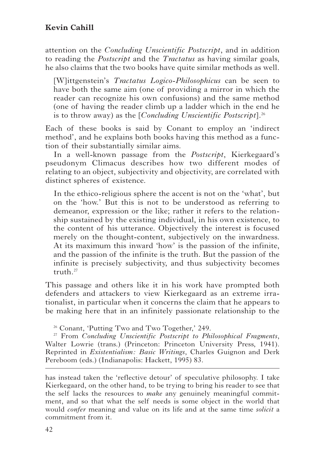attention on the *Concluding Unscientific Postscript*, and in addition to reading the *Postscript* and the *Tractatus* as having similar goals, he also claims that the two books have quite similar methods as well.

[W]ittgenstein's *Tractatus Logico-Philosophicus* can be seen to have both the same aim (one of providing a mirror in which the reader can recognize his own confusions) and the same method (one of having the reader climb up a ladder which in the end he is to throw away) as the [*Concluding Unscientific Postscript*].<sup>26</sup>

Each of these books is said by Conant to employ an 'indirect method', and he explains both books having this method as a function of their substantially similar aims.

In a well-known passage from the *Postscript*, Kierkegaard's pseudonym Climacus describes how two different modes of relating to an object, subjectivity and objectivity, are correlated with distinct spheres of existence.

In the ethico-religious sphere the accent is not on the 'what', but on the 'how.' But this is not to be understood as referring to demeanor, expression or the like; rather it refers to the relationship sustained by the existing individual, in his own existence, to the content of his utterance. Objectively the interest is focused merely on the thought-content, subjectively on the inwardness. At its maximum this inward 'how' is the passion of the infinite, and the passion of the infinite is the truth. But the passion of the infinite is precisely subjectivity, and thus subjectivity becomes truth $27$ 

This passage and others like it in his work have prompted both defenders and attackers to view Kierkegaard as an extreme irrationalist, in particular when it concerns the claim that he appears to be making here that in an infinitely passionate relationship to the

<sup>26</sup> Conant, 'Putting Two and Two Together,' 249.

<sup>27</sup> From *Concluding Unscientific Postscript to Philosophical Fragments*, Walter Lowrie (trans.) (Princeton: Princeton University Press, 1941). Reprinted in *Existentialism: Basic Writings*, Charles Guignon and Derk Pereboom (eds.) (Indianapolis: Hackett, 1995) 83.

has instead taken the 'reflective detour' of speculative philosophy. I take Kierkegaard, on the other hand, to be trying to bring his reader to see that the self lacks the resources to *make* any genuinely meaningful commitment, and so that what the self needs is some object in the world that would *confer* meaning and value on its life and at the same time *solicit* a commitment from it.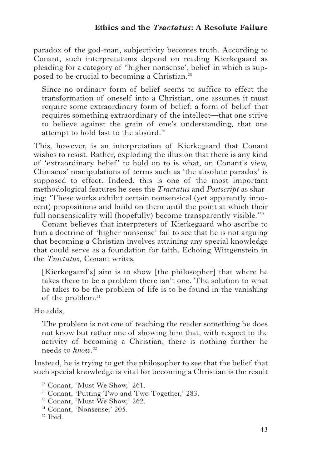paradox of the god-man, subjectivity becomes truth. According to Conant, such interpretations depend on reading Kierkegaard as pleading for a category of "higher nonsense', belief in which is supposed to be crucial to becoming a Christian.<sup>28</sup>

Since no ordinary form of belief seems to suffice to effect the transformation of oneself into a Christian, one assumes it must require some extraordinary form of belief: a form of belief that requires something extraordinary of the intellect—that one strive to believe against the grain of one's understanding, that one attempt to hold fast to the absurd.<sup>29</sup>

This, however, is an interpretation of Kierkegaard that Conant wishes to resist. Rather, exploding the illusion that there is any kind of 'extraordinary belief' to hold on to is what, on Conant's view, Climacus' manipulations of terms such as 'the absolute paradox' is supposed to effect. Indeed, this is one of the most important methodological features he sees the *Tractatus* and *Postscript* as sharing: 'These works exhibit certain nonsensical (yet apparently innocent) propositions and build on them until the point at which their full nonsensicality will (hopefully) become transparently visible.'30

Conant believes that interpreters of Kierkegaard who ascribe to him a doctrine of 'higher nonsense' fail to see that he is not arguing that becoming a Christian involves attaining any special knowledge that could serve as a foundation for faith. Echoing Wittgenstein in the *Tractatus*, Conant writes,

[Kierkegaard's] aim is to show [the philosopher] that where he takes there to be a problem there isn't one. The solution to what he takes to be the problem of life is to be found in the vanishing of the problem.<sup>31</sup>

He adds,

The problem is not one of teaching the reader something he does not know but rather one of showing him that, with respect to the activity of becoming a Christian, there is nothing further he needs to *know*. 32

Instead, he is trying to get the philosopher to see that the belief that such special knowledge is vital for becoming a Christian is the result

<sup>28</sup> Conant, 'Must We Show,' 261.

- <sup>29</sup> Conant, 'Putting Two and Two Together,' 283.
- <sup>30</sup> Conant, 'Must We Show,' 262.
- <sup>31</sup> Conant, 'Nonsense,' 205.

 $32$  Ibid.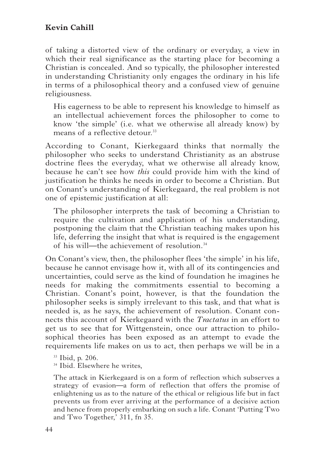of taking a distorted view of the ordinary or everyday, a view in which their real significance as the starting place for becoming a Christian is concealed. And so typically, the philosopher interested in understanding Christianity only engages the ordinary in his life in terms of a philosophical theory and a confused view of genuine religiousness.

His eagerness to be able to represent his knowledge to himself as an intellectual achievement forces the philosopher to come to know 'the simple' (i.e. what we otherwise all already know) by means of a reflective detour.<sup>33</sup>

According to Conant, Kierkegaard thinks that normally the philosopher who seeks to understand Christianity as an abstruse doctrine flees the everyday, what we otherwise all already know, because he can't see how *this* could provide him with the kind of justification he thinks he needs in order to become a Christian. But on Conant's understanding of Kierkegaard, the real problem is not one of epistemic justification at all:

The philosopher interprets the task of becoming a Christian to require the cultivation and application of his understanding, postponing the claim that the Christian teaching makes upon his life, deferring the insight that what is required is the engagement of his will—the achievement of resolution.34

On Conant's view, then, the philosopher flees 'the simple' in his life, because he cannot envisage how it, with all of its contingencies and uncertainties, could serve as the kind of foundation he imagines he needs for making the commitments essential to becoming a Christian. Conant's point, however, is that the foundation the philosopher seeks is simply irrelevant to this task, and that what is needed is, as he says, the achievement of resolution. Conant connects this account of Kierkegaard with the *Tractatus* in an effort to get us to see that for Wittgenstein, once our attraction to philosophical theories has been exposed as an attempt to evade the requirements life makes on us to act, then perhaps we will be in a

<sup>33</sup> Ibid, p. 206.

<sup>34</sup> Ibid. Elsewhere he writes,

The attack in Kierkegaard is on a form of reflection which subserves a strategy of evasion—a form of reflection that offers the promise of enlightening us as to the nature of the ethical or religious life but in fact prevents us from ever arriving at the performance of a decisive action and hence from properly embarking on such a life. Conant 'Putting Two and Two Together,' 311, fn 35.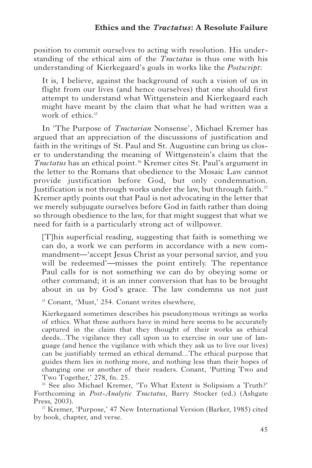position to commit ourselves to acting with resolution. His understanding of the ethical aim of the *Tractatus* is thus one with his understanding of Kierkegaard's goals in works like the *Postscript*:

It is, I believe, against the background of such a vision of us in flight from our lives (and hence ourselves) that one should first attempt to understand what Wittgenstein and Kierkegaard each might have meant by the claim that what he had written was a work of ethics<sup>35</sup>

In 'The Purpose of *Tractarian* Nonsense', Michael Kremer has argued that an appreciation of the discussions of justification and faith in the writings of St. Paul and St. Augustine can bring us closer to understanding the meaning of Wittgenstein's claim that the *Tractatus* has an ethical point.36 Kremer cites St. Paul's argument in the letter to the Romans that obedience to the Mosaic Law cannot provide justification before God, but only condemnation. Justification is not through works under the law, but through faith.37 Kremer aptly points out that Paul is not advocating in the letter that we merely subjugate ourselves before God in faith rather than doing so through obedience to the law, for that might suggest that what we need for faith is a particularly strong act of willpower.

[T]his superficial reading, suggesting that faith is something we can do, a work we can perform in accordance with a new commandment—'accept Jesus Christ as your personal savior, and you will be redeemed'—misses the point entirely. The repentance Paul calls for is not something we can do by obeying some or other command; it is an inner conversion that has to be brought about in us by God's grace. The law condemns us not just

<sup>35</sup> Conant, 'Must,' 254. Conant writes elsewhere,

Kierkegaard sometimes describes his pseudonymous writings as works of ethics. What these authors have in mind here seems to be accurately captured in the claim that they thought of their works as ethical deeds...The vigilance they call upon us to exercise in our use of language (and hence the vigilance with which they ask us to live our lives) can be justifiably termed an ethical demand...The ethical purpose that guides them lies in nothing more, and nothing less than their hopes of changing one or another of their readers. Conant, 'Putting Two and Two Together,' 278, fn. 25.

<sup>36</sup> See also Michael Kremer, 'To What Extent is Solipsism a Truth?' Forthcoming in *Post-Analytic Tractatus*, Barry Stocker (ed.) (Ashgate Press, 2003).

<sup>37</sup> Kremer, 'Purpose,' 47 New International Version (Barker, 1985) cited by book, chapter, and verse.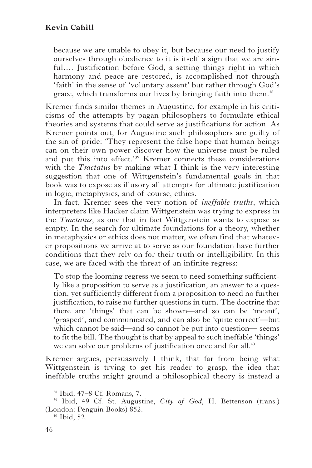because we are unable to obey it, but because our need to justify ourselves through obedience to it is itself a sign that we are sinful…. Justification before God, a setting things right in which harmony and peace are restored, is accomplished not through 'faith' in the sense of 'voluntary assent' but rather through God's grace, which transforms our lives by bringing faith into them.<sup>38</sup>

Kremer finds similar themes in Augustine, for example in his criticisms of the attempts by pagan philosophers to formulate ethical theories and systems that could serve as justifications for action. As Kremer points out, for Augustine such philosophers are guilty of the sin of pride: 'They represent the false hope that human beings can on their own power discover how the universe must be ruled and put this into effect.'39 Kremer connects these considerations with the *Tractatus* by making what I think is the very interesting suggestion that one of Wittgenstein's fundamental goals in that book was to expose as illusory all attempts for ultimate justification in logic, metaphysics, and of course, ethics.

In fact, Kremer sees the very notion of *ineffable truths*, which interpreters like Hacker claim Wittgenstein was trying to express in the *Tractatus*, as one that in fact Wittgenstein wants to expose as empty. In the search for ultimate foundations for a theory, whether in metaphysics or ethics does not matter, we often find that whatever propositions we arrive at to serve as our foundation have further conditions that they rely on for their truth or intelligibility. In this case, we are faced with the threat of an infinite regress:

To stop the looming regress we seem to need something sufficiently like a proposition to serve as a justification, an answer to a question, yet sufficiently different from a proposition to need no further justification, to raise no further questions in turn. The doctrine that there are 'things' that can be shown—and so can be 'meant', 'grasped', and communicated, and can also be 'quite correct'—but which cannot be said—and so cannot be put into question— seems to fit the bill. The thought is that by appeal to such ineffable 'things' we can solve our problems of justification once and for all.<sup>40</sup>

Kremer argues, persuasively I think, that far from being what Wittgenstein is trying to get his reader to grasp, the idea that ineffable truths might ground a philosophical theory is instead a

<sup>38</sup> Ibid, 47–8 Cf. Romans, 7.

<sup>39</sup> Ibid, 49 Cf. St. Augustine, *City of God*, H. Bettenson (trans.) (London: Penguin Books) 852.

<sup>40</sup> Ibid, 52.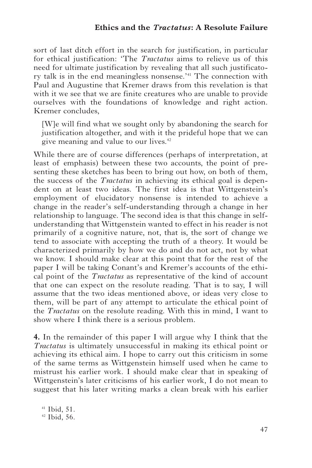sort of last ditch effort in the search for justification, in particular for ethical justification: 'The *Tractatus* aims to relieve us of this need for ultimate justification by revealing that all such justificatory talk is in the end meaningless nonsense.'41 The connection with Paul and Augustine that Kremer draws from this revelation is that with it we see that we are finite creatures who are unable to provide ourselves with the foundations of knowledge and right action. Kremer concludes,

[W]e will find what we sought only by abandoning the search for justification altogether, and with it the prideful hope that we can give meaning and value to our lives.<sup>42</sup>

While there are of course differences (perhaps of interpretation, at least of emphasis) between these two accounts, the point of presenting these sketches has been to bring out how, on both of them, the success of the *Tractatus* in achieving its ethical goal is dependent on at least two ideas. The first idea is that Wittgenstein's employment of elucidatory nonsense is intended to achieve a change in the reader's self-understanding through a change in her relationship to language. The second idea is that this change in selfunderstanding that Wittgenstein wanted to effect in his reader is not primarily of a cognitive nature, not, that is, the sort of change we tend to associate with accepting the truth of a theory. It would be characterized primarily by how we do and do not act, not by what we know. I should make clear at this point that for the rest of the paper I will be taking Conant's and Kremer's accounts of the ethical point of the *Tractatus* as representative of the kind of account that one can expect on the resolute reading. That is to say, I will assume that the two ideas mentioned above, or ideas very close to them, will be part of any attempt to articulate the ethical point of the *Tractatus* on the resolute reading. With this in mind, I want to show where I think there is a serious problem.

**4.** In the remainder of this paper I will argue why I think that the *Tractatus* is ultimately unsuccessful in making its ethical point or achieving its ethical aim. I hope to carry out this criticism in some of the same terms as Wittgenstein himself used when he came to mistrust his earlier work. I should make clear that in speaking of Wittgenstein's later criticisms of his earlier work, I do not mean to suggest that his later writing marks a clean break with his earlier

 $41$  Ibid, 51.  $42$  Ibid, 56.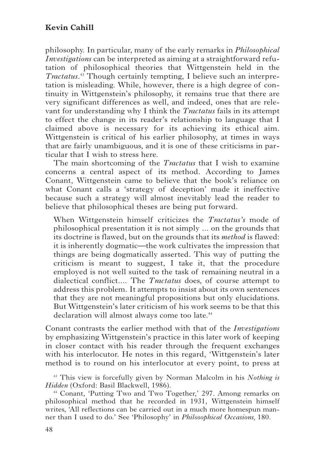philosophy. In particular, many of the early remarks in *Philosophical Investigations* can be interpreted as aiming at a straightforward refutation of philosophical theories that Wittgenstein held in the *Tractatus*. <sup>43</sup> Though certainly tempting, I believe such an interpretation is misleading. While, however, there is a high degree of continuity in Wittgenstein's philosophy, it remains true that there are very significant differences as well, and indeed, ones that are relevant for understanding why I think the *Tractatus* fails in its attempt to effect the change in its reader's relationship to language that I claimed above is necessary for its achieving its ethical aim. Wittgenstein is critical of his earlier philosophy, at times in ways that are fairly unambiguous, and it is one of these criticisms in particular that I wish to stress here.

The main shortcoming of the *Tractatus* that I wish to examine concerns a central aspect of its method. According to James Conant, Wittgenstein came to believe that the book's reliance on what Conant calls a 'strategy of deception' made it ineffective because such a strategy will almost inevitably lead the reader to believe that philosophical theses are being put forward.

When Wittgenstein himself criticizes the *Tractatus's* mode of philosophical presentation it is not simply ... on the grounds that its doctrine is flawed, but on the grounds that its *method* is flawed: it is inherently dogmatic—the work cultivates the impression that things are being dogmatically asserted. This way of putting the criticism is meant to suggest, I take it, that the procedure employed is not well suited to the task of remaining neutral in a dialectical conflict.... The *Tractatus* does, of course attempt to address this problem. It attempts to insist about its own sentences that they are not meaningful propositions but only elucidations. But Wittgenstein's later criticism of his work seems to be that this declaration will almost always come too late.<sup>44</sup>

Conant contrasts the earlier method with that of the *Investigations* by emphasizing Wittgenstein's practice in this later work of keeping in closer contact with his reader through the frequent exchanges with his interlocutor. He notes in this regard, 'Wittgenstein's later method is to round on his interlocutor at every point, to press at

<sup>43</sup> This view is forcefully given by Norman Malcolm in his *Nothing is Hidden* (Oxford: Basil Blackwell, 1986).

<sup>44</sup> Conant, 'Putting Two and Two Together,' 297. Among remarks on philosophical method that he recorded in 1931, Wittgenstein himself writes, 'All reflections can be carried out in a much more homespun manner than I used to do.' See 'Philosophy' in *Philosophical Occasions,* 180.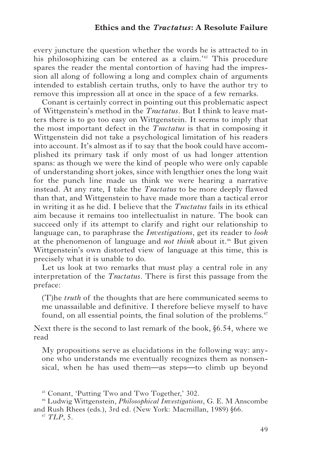every juncture the question whether the words he is attracted to in his philosophizing can be entered as a claim.<sup>'45</sup> This procedure spares the reader the mental contortion of having had the impression all along of following a long and complex chain of arguments intended to establish certain truths, only to have the author try to remove this impression all at once in the space of a few remarks.

Conant is certainly correct in pointing out this problematic aspect of Wittgenstein's method in the *Tractatus*. But I think to leave matters there is to go too easy on Wittgenstein. It seems to imply that the most important defect in the *Tractatus* is that in composing it Wittgenstein did not take a psychological limitation of his readers into account. It's almost as if to say that the book could have accomplished its primary task if only most of us had longer attention spans: as though we were the kind of people who were only capable of understanding short jokes, since with lengthier ones the long wait for the punch line made us think we were hearing a narrative instead. At any rate, I take the *Tractatus* to be more deeply flawed than that, and Wittgenstein to have made more than a tactical error in writing it as he did. I believe that the *Tractatus* fails in its ethical aim because it remains too intellectualist in nature. The book can succeed only if its attempt to clarify and right our relationship to language can, to paraphrase the *Investigations*, get its reader to *look* at the phenomenon of language and *not think* about it.<sup>46</sup> But given Wittgenstein's own distorted view of language at this time, this is precisely what it is unable to do.

Let us look at two remarks that must play a central role in any interpretation of the *Tractatus*. There is first this passage from the preface:

(T)he *truth* of the thoughts that are here communicated seems to me unassailable and definitive. I therefore believe myself to have found, on all essential points, the final solution of the problems.<sup>47</sup>

Next there is the second to last remark of the book, §6.54, where we read

My propositions serve as elucidations in the following way: anyone who understands me eventually recognizes them as nonsensical, when he has used them—as steps—to climb up beyond

<sup>45</sup> Conant, 'Putting Two and Two Together,' 302.

<sup>46</sup> Ludwig Wittgenstein, *Philosophical Investigations*, G. E. M Anscombe and Rush Rhees (eds.), 3rd ed. (New York: Macmillan, 1989) §66.

<sup>47</sup> *TLP*, 5.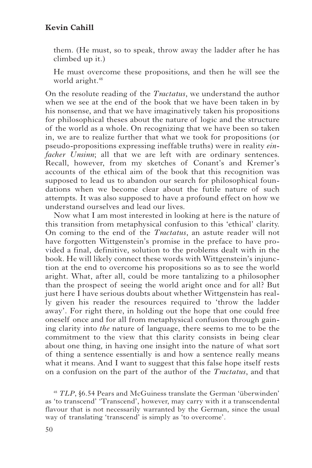them. (He must, so to speak, throw away the ladder after he has climbed up it.)

He must overcome these propositions, and then he will see the world aright.<sup>48</sup>

On the resolute reading of the *Tractatus*, we understand the author when we see at the end of the book that we have been taken in by his nonsense, and that we have imaginatively taken his propositions for philosophical theses about the nature of logic and the structure of the world as a whole. On recognizing that we have been so taken in, we are to realize further that what we took for propositions (or pseudo-propositions expressing ineffable truths) were in reality *einfacher Unsinn*; all that we are left with are ordinary sentences. Recall, however, from my sketches of Conant's and Kremer's accounts of the ethical aim of the book that this recognition was supposed to lead us to abandon our search for philosophical foundations when we become clear about the futile nature of such attempts. It was also supposed to have a profound effect on how we understand ourselves and lead our lives.

Now what I am most interested in looking at here is the nature of this transition from metaphysical confusion to this 'ethical' clarity. On coming to the end of the *Tractatus*, an astute reader will not have forgotten Wittgenstein's promise in the preface to have provided a final, definitive, solution to the problems dealt with in the book. He will likely connect these words with Wittgenstein's injunction at the end to overcome his propositions so as to see the world aright. What, after all, could be more tantalizing to a philosopher than the prospect of seeing the world aright once and for all? But just here I have serious doubts about whether Wittgenstein has really given his reader the resources required to 'throw the ladder away'. For right there, in holding out the hope that one could free oneself once and for all from metaphysical confusion through gaining clarity into *the* nature of language, there seems to me to be the commitment to the view that this clarity consists in being clear about one thing, in having one insight into the nature of what sort of thing a sentence essentially is and how a sentence really means what it means. And I want to suggest that this false hope itself rests on a confusion on the part of the author of the *Tractatus*, and that

<sup>48</sup> *TLP*, §6.54 Pears and McGuiness translate the German 'überwinden' as 'to transcend' 'Transcend', however, may carry with it a transcendental flavour that is not necessarily warranted by the German, since the usual way of translating 'transcend' is simply as 'to overcome'.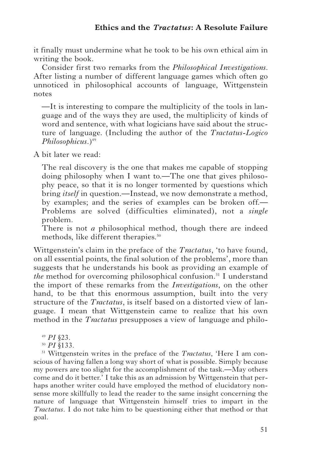it finally must undermine what he took to be his own ethical aim in writing the book.

Consider first two remarks from the *Philosophical Investigations.* After listing a number of different language games which often go unnoticed in philosophical accounts of language, Wittgenstein notes

—It is interesting to compare the multiplicity of the tools in language and of the ways they are used, the multiplicity of kinds of word and sentence, with what logicians have said about the structure of language. (Including the author of the *Tractatus-Logico Philosophicus*.)49

A bit later we read:

The real discovery is the one that makes me capable of stopping doing philosophy when I want to.—The one that gives philosophy peace, so that it is no longer tormented by questions which bring *itself* in question.—Instead, we now demonstrate a method, by examples; and the series of examples can be broken off.— Problems are solved (difficulties eliminated), not a *single* problem.

There is not *a* philosophical method, though there are indeed methods, like different therapies.<sup>50</sup>

Wittgenstein's claim in the preface of the *Tractatus*, 'to have found, on all essential points, the final solution of the problems', more than suggests that he understands his book as providing an example of *the* method for overcoming philosophical confusion.<sup>51</sup> I understand the import of these remarks from the *Investigations*, on the other hand, to be that this enormous assumption, built into the very structure of the *Tractatus*, is itself based on a distorted view of language. I mean that Wittgenstein came to realize that his own method in the *Tractatus* presupposes a view of language and philo-

<sup>49</sup> *PI* §23.

<sup>50</sup> *PI* §133.

<sup>51</sup> Wittgenstein writes in the preface of the *Tractatus*, 'Here I am conscious of having fallen a long way short of what is possible. Simply because my powers are too slight for the accomplishment of the task.—May others come and do it better.' I take this as an admission by Wittgenstein that perhaps another writer could have employed the method of elucidatory nonsense more skillfully to lead the reader to the same insight concerning the nature of language that Wittgenstein himself tries to impart in the *Tractatus*. I do not take him to be questioning either that method or that goal.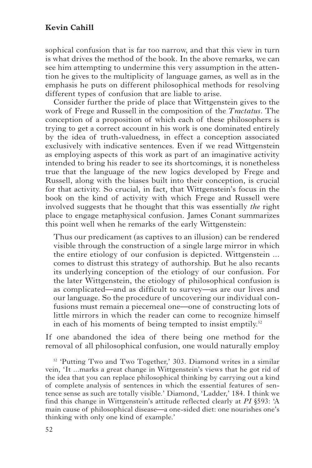# **Kevin Cahill**

sophical confusion that is far too narrow, and that this view in turn is what drives the method of the book. In the above remarks, we can see him attempting to undermine this very assumption in the attention he gives to the multiplicity of language games, as well as in the emphasis he puts on different philosophical methods for resolving different types of confusion that are liable to arise.

Consider further the pride of place that Wittgenstein gives to the work of Frege and Russell in the composition of the *Tractatus*. The conception of a proposition of which each of these philosophers is trying to get a correct account in his work is one dominated entirely by the idea of truth-valuedness, in effect a conception associated exclusively with indicative sentences. Even if we read Wittgenstein as employing aspects of this work as part of an imaginative activity intended to bring his reader to see its shortcomings, it is nonetheless true that the language of the new logics developed by Frege and Russell, along with the biases built into their conception, is crucial for that activity. So crucial, in fact, that Wittgenstein's focus in the book on the kind of activity with which Frege and Russell were involved suggests that he thought that this was essentially *the* right place to engage metaphysical confusion. James Conant summarizes this point well when he remarks of the early Wittgenstein:

Thus our predicament (as captives to an illusion) can be rendered visible through the construction of a single large mirror in which the entire etiology of our confusion is depicted. Wittgenstein ... comes to distrust this strategy of authorship. But he also recants its underlying conception of the etiology of our confusion. For the later Wittgenstein, the etiology of philosophical confusion is as complicated—and as difficult to survey—as are our lives and our language. So the procedure of uncovering our individual confusions must remain a piecemeal one—one of constructing lots of little mirrors in which the reader can come to recognize himself in each of his moments of being tempted to insist emptily.<sup>52</sup>

If one abandoned the idea of there being one method for the removal of all philosophical confusion, one would naturally employ

<sup>52</sup> 'Putting Two and Two Together,' 303. Diamond writes in a similar vein, 'It ...marks a great change in Wittgenstein's views that he got rid of the idea that you can replace philosophical thinking by carrying out a kind of complete analysis of sentences in which the essential features of sentence sense as such are totally visible.' Diamond, 'Ladder,' 184. I think we find this change in Wittgenstein's attitude reflected clearly at *PI* §593: 'A main cause of philosophical disease—a one-sided diet: one nourishes one's thinking with only one kind of example.'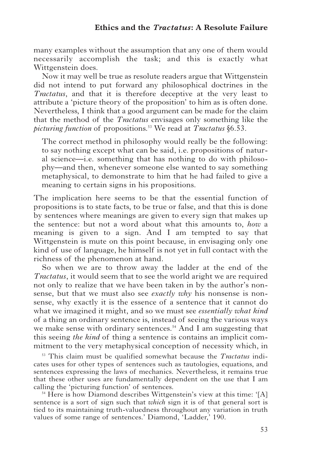many examples without the assumption that any one of them would necessarily accomplish the task; and this is exactly what Wittgenstein does.

Now it may well be true as resolute readers argue that Wittgenstein did not intend to put forward any philosophical doctrines in the *Tractatus*, and that it is therefore deceptive at the very least to attribute a 'picture theory of the proposition' to him as is often done. Nevertheless, I think that a good argument can be made for the claim that the method of the *Tractatus* envisages only something like the *picturing function* of propositions.53 We read at *Tractatus* §6.53.

The correct method in philosophy would really be the following: to say nothing except what can be said, i.e. propositions of natural science—i.e. something that has nothing to do with philosophy—and then, whenever someone else wanted to say something metaphysical, to demonstrate to him that he had failed to give a meaning to certain signs in his propositions.

The implication here seems to be that the essential function of propositions is to state facts, to be true or false, and that this is done by sentences where meanings are given to every sign that makes up the sentence: but not a word about what this amounts to, *how* a meaning is given to a sign. And I am tempted to say that Wittgenstein is mute on this point because, in envisaging only one kind of use of language, he himself is not yet in full contact with the richness of the phenomenon at hand.

So when we are to throw away the ladder at the end of the *Tractatus*, it would seem that to see the world aright we are required not only to realize that we have been taken in by the author's nonsense, but that we must also see *exactly why* his nonsense is nonsense, why exactly it is the essence of a sentence that it cannot do what we imagined it might, and so we must see *essentially what kind* of a thing an ordinary sentence is, instead of seeing the various ways we make sense with ordinary sentences.<sup>54</sup> And I am suggesting that this seeing *the kind* of thing a sentence is contains an implicit commitment to the very metaphysical conception of necessity which, in

<sup>53</sup> This claim must be qualified somewhat because the *Tractatus* indicates uses for other types of sentences such as tautologies, equations, and sentences expressing the laws of mechanics. Nevertheless, it remains true that these other uses are fundamentally dependent on the use that I am calling the 'picturing function' of sentences. 54 Here is how Diamond describes Wittgenstein's view at this time: '[A]

sentence is a sort of sign such that *which* sign it is of that general sort is tied to its maintaining truth-valuedness throughout any variation in truth values of some range of sentences.' Diamond, 'Ladder,' 190.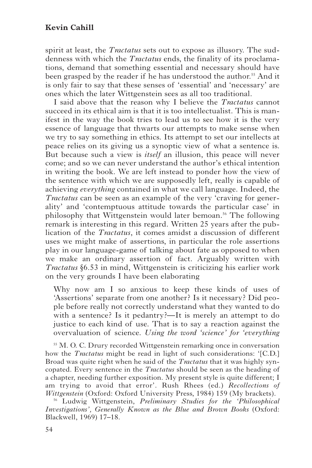spirit at least, the *Tractatus* sets out to expose as illusory. The suddenness with which the *Tractatus* ends, the finality of its proclamations, demand that something essential and necessary should have been grasped by the reader if he has understood the author.<sup>55</sup> And it is only fair to say that these senses of 'essential' and 'necessary' are ones which the later Wittgenstein sees as all too traditional.

I said above that the reason why I believe the *Tractatus* cannot succeed in its ethical aim is that it is too intellectualist. This is manifest in the way the book tries to lead us to see how it is the very essence of language that thwarts our attempts to make sense when we try to say something in ethics. Its attempt to set our intellects at peace relies on its giving us a synoptic view of what a sentence is. But because such a view is *itself* an illusion, this peace will never come; and so we can never understand the author's ethical intention in writing the book. We are left instead to ponder how the view of the sentence with which we are supposedly left, really is capable of achieving *everything* contained in what we call language. Indeed, the *Tractatus* can be seen as an example of the very 'craving for generality' and 'contemptuous attitude towards the particular case' in philosophy that Wittgenstein would later bemoan.<sup>56</sup> The following remark is interesting in this regard. Written 25 years after the publication of the *Tractatus*, it comes amidst a discussion of different uses we might make of assertions, in particular the role assertions play in our language-game of talking about fate as opposed to when we make an ordinary assertion of fact. Arguably written with *Tractatus* §6.53 in mind, Wittgenstein is criticizing his earlier work on the very grounds I have been elaborating

Why now am I so anxious to keep these kinds of uses of 'Assertions' separate from one another? Is it necessary? Did people before really not correctly understand what they wanted to do with a sentence? Is it pedantry?—It is merely an attempt to do justice to each kind of use. That is to say a reaction against the overvaluation of science. *Using the word 'science' for 'everything*

<sup>55</sup> M. O. C. Drury recorded Wittgenstein remarking once in conversation how the *Tractatus* might be read in light of such considerations: '[C.D.] Broad was quite right when he said of the *Tractatus* that it was highly syncopated. Every sentence in the *Tractatus* should be seen as the heading of a chapter, needing further exposition. My present style is quite different; I am trying to avoid that error'. Rush Rhees (ed.) *Recollections of Wittgenstein* (Oxford: Oxford University Press, 1984) 159 (My brackets).

<sup>56</sup> Ludwig Wittgenstein, *Preliminary Studies for the 'Philosophical Investigations', Generally Known as the Blue and Brown Books* (Oxford: Blackwell, 1969) 17–18.